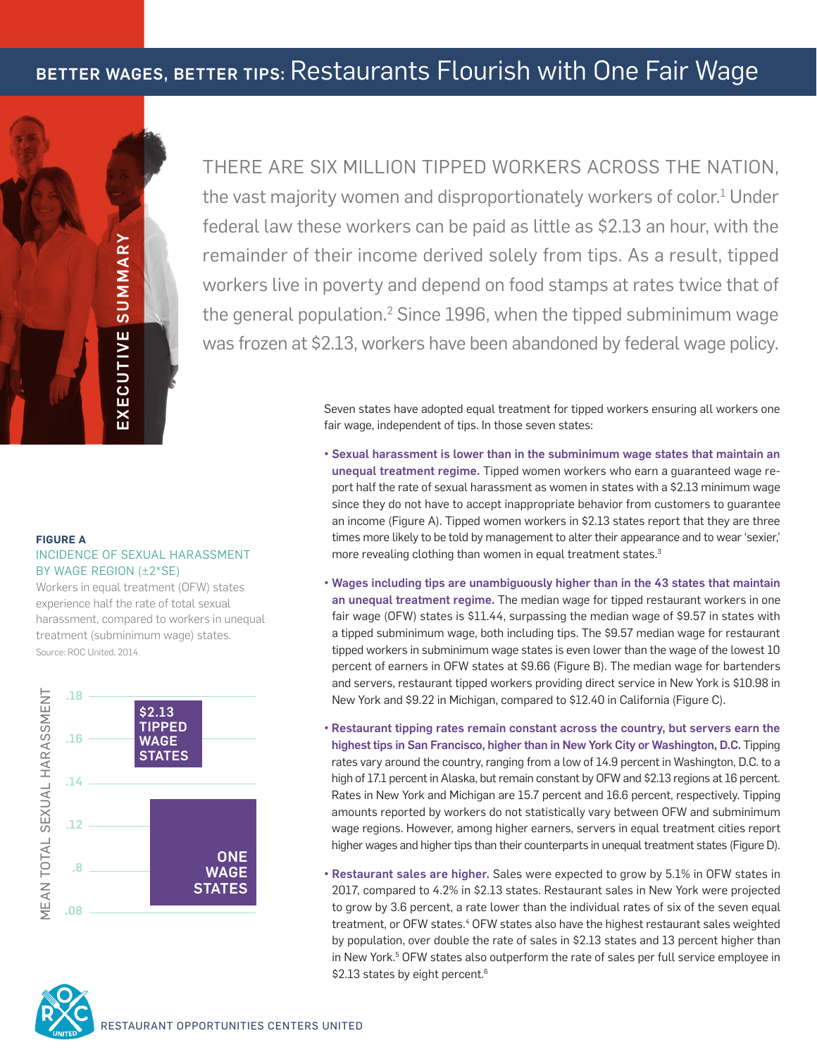# BETTER WAGES, BETTER TIPS: Restaurants Flourish with One Fair Wage



THERE ARE SIX MILLION TIPPED WORKERS ACROSS THE NATION, the vast majority women and disproportionately workers of color.<sup>1</sup> Under federal law these workers can be paid as little as \$2.13 an hour, with the remainder of their income derived solely from tips. As a result, tipped workers live in poverty and depend on food stamps at rates twice that of the general population. $^2$  Since 1996, when the tipped subminimum wage was frozen at \$2.13, workers have been abandoned by federal wage policy.

> Seven states have adopted equal treatment for tipped workers ensuring all workers one fair wage, independent of tips. In those seven states:

- Sexual harassment is lower than in the subminimum wage states that maintain an unequal treatment regime. Tipped women workers who earn a guaranteed wage report half the rate of sexual harassment as women in states with a \$2.13 minimum wage since they do not have to accept inappropriate behavior from customers to guarantee an income (Figure A). Tipped women workers in \$2.13 states report that they are three times more likely to be told by management to alter their appearance and to wear 'sexier,' more revealing clothing than women in equal treatment states.<sup>3</sup>
- Wages including tips are unambiguously higher than in the 43 states that maintain an unequal treatment regime. The median wage for tipped restaurant workers in one fair wage (OFW) states is \$11.44, surpassing the median wage of \$9.57 in states with a tipped subminimum wage, both including tips. The \$9.57 median wage for restaurant tipped workers in subminimum wage states is even lower than the wage of the lowest 10 percent of earners in OFW states at \$9.66 (Figure B). The median wage for bartenders and servers, restaurant tipped workers providing direct service in New York is \$10.98 in New York and \$9.22 in Michigan, compared to \$12.40 in California (Figure C).
- Restaurant tipping rates remain constant across the country, but servers earn the highest tips in San Francisco, higher than in New York City or Washington, D.C. Tipping rates vary around the country, ranging from a low of 14.9 percent in Washington, D.C. to a high of 17.1 percent in Alaska, but remain constant by OFW and \$2.13 regions at 16 percent. Rates in New York and Michigan are 15.7 percent and 16.6 percent, respectively. Tipping amounts reported by workers do not statistically vary between OFW and subminimum wage regions. However, among higher earners, servers in equal treatment cities report higher wages and higher tips than their counterparts in unequal treatment states (Figure D).
- Restaurant sales are higher. Sales were expected to grow by 5.1% in OFW states in 2017, compared to 4.2% in \$2.13 states. Restaurant sales in New York were projected to grow by 3.6 percent, a rate lower than the individual rates of six of the seven equal treatment, or OFW states.<sup>4</sup> OFW states also have the highest restaurant sales weighted by population, over double the rate of sales in \$2.13 states and 13 percent higher than in New York.<sup>5</sup> OFW states also outperform the rate of sales per full service employee in \$2.13 states by eight percent.<sup>6</sup>

#### **FIGURE A** INCIDENCE OF SEXUAL HARASSMENT BY WAGE REGION (±2\*SE)

Workers in equal treatment (OFW) states experience half the rate of total sexual harassment, compared to workers in unequal treatment (subminimum wage) states. Source: ROC United, 2014.